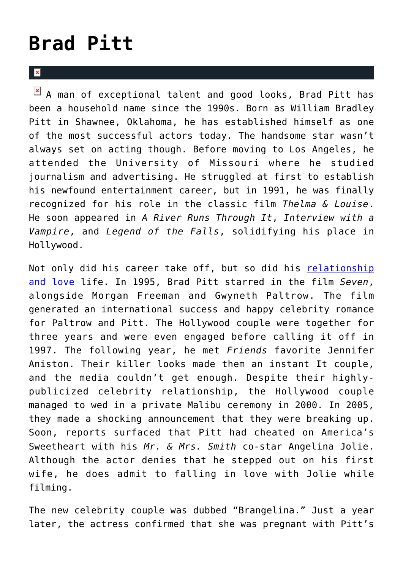## **[Brad Pitt](https://cupidspulse.com/88145/brad-pitt/)**

 $\overline{\mathbf{x}}$ 

 $\boxed{\times}$  A man of exceptional talent and good looks, Brad Pitt has been a household name since the 1990s. Born as William Bradley Pitt in Shawnee, Oklahoma, he has established himself as one of the most successful actors today. The handsome star wasn't always set on acting though. Before moving to Los Angeles, he attended the University of Missouri where he studied journalism and advertising. He struggled at first to establish his newfound entertainment career, but in 1991, he was finally recognized for his role in the classic film *Thelma & Louise*. He soon appeared in *A River Runs Through It*, *Interview with a Vampire*, and *Legend of the Falls*, solidifying his place in Hollywood.

Not only did his career take off, but so did his [relationship](http://cupidspulse.com/celebrity-news/) [and love](http://cupidspulse.com/celebrity-news/) life. In 1995, Brad Pitt starred in the film *Seven*, alongside Morgan Freeman and Gwyneth Paltrow. The film generated an international success and happy celebrity romance for Paltrow and Pitt. The Hollywood couple were together for three years and were even engaged before calling it off in 1997. The following year, he met *Friends* favorite Jennifer Aniston. Their killer looks made them an instant It couple, and the media couldn't get enough. Despite their highlypublicized celebrity relationship, the Hollywood couple managed to wed in a private Malibu ceremony in 2000. In 2005, they made a shocking announcement that they were breaking up. Soon, reports surfaced that Pitt had cheated on America's Sweetheart with his *Mr. & Mrs. Smith* co-star Angelina Jolie. Although the actor denies that he stepped out on his first wife, he does admit to falling in love with Jolie while filming.

The new celebrity couple was dubbed "Brangelina." Just a year later, the actress confirmed that she was pregnant with Pitt's